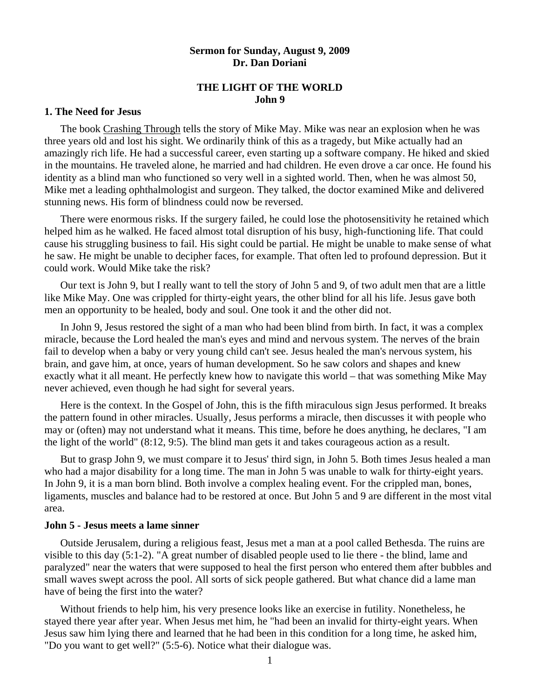## **Sermon for Sunday, August 9, 2009 Dr. Dan Doriani**

# **THE LIGHT OF THE WORLD John 9**

## **1. The Need for Jesus**

The book Crashing Through tells the story of Mike May. Mike was near an explosion when he was three years old and lost his sight. We ordinarily think of this as a tragedy, but Mike actually had an amazingly rich life. He had a successful career, even starting up a software company. He hiked and skied in the mountains. He traveled alone, he married and had children. He even drove a car once. He found his identity as a blind man who functioned so very well in a sighted world. Then, when he was almost 50, Mike met a leading ophthalmologist and surgeon. They talked, the doctor examined Mike and delivered stunning news. His form of blindness could now be reversed.

 There were enormous risks. If the surgery failed, he could lose the photosensitivity he retained which helped him as he walked. He faced almost total disruption of his busy, high-functioning life. That could cause his struggling business to fail. His sight could be partial. He might be unable to make sense of what he saw. He might be unable to decipher faces, for example. That often led to profound depression. But it could work. Would Mike take the risk?

 Our text is John 9, but I really want to tell the story of John 5 and 9, of two adult men that are a little like Mike May. One was crippled for thirty-eight years, the other blind for all his life. Jesus gave both men an opportunity to be healed, body and soul. One took it and the other did not.

 In John 9, Jesus restored the sight of a man who had been blind from birth. In fact, it was a complex miracle, because the Lord healed the man's eyes and mind and nervous system. The nerves of the brain fail to develop when a baby or very young child can't see. Jesus healed the man's nervous system, his brain, and gave him, at once, years of human development. So he saw colors and shapes and knew exactly what it all meant. He perfectly knew how to navigate this world – that was something Mike May never achieved, even though he had sight for several years.

 Here is the context. In the Gospel of John, this is the fifth miraculous sign Jesus performed. It breaks the pattern found in other miracles. Usually, Jesus performs a miracle, then discusses it with people who may or (often) may not understand what it means. This time, before he does anything, he declares, "I am the light of the world" (8:12, 9:5). The blind man gets it and takes courageous action as a result.

 But to grasp John 9, we must compare it to Jesus' third sign, in John 5. Both times Jesus healed a man who had a major disability for a long time. The man in John 5 was unable to walk for thirty-eight years. In John 9, it is a man born blind. Both involve a complex healing event. For the crippled man, bones, ligaments, muscles and balance had to be restored at once. But John 5 and 9 are different in the most vital area.

## **John 5 - Jesus meets a lame sinner**

 Outside Jerusalem, during a religious feast, Jesus met a man at a pool called Bethesda. The ruins are visible to this day (5:1-2). "A great number of disabled people used to lie there - the blind, lame and paralyzed" near the waters that were supposed to heal the first person who entered them after bubbles and small waves swept across the pool. All sorts of sick people gathered. But what chance did a lame man have of being the first into the water?

 Without friends to help him, his very presence looks like an exercise in futility. Nonetheless, he stayed there year after year. When Jesus met him, he "had been an invalid for thirty-eight years. When Jesus saw him lying there and learned that he had been in this condition for a long time, he asked him, "Do you want to get well?" (5:5-6). Notice what their dialogue was.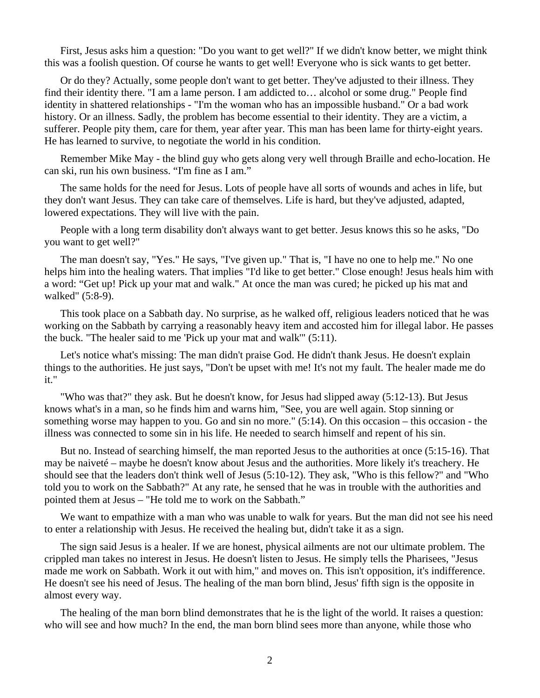First, Jesus asks him a question: "Do you want to get well?" If we didn't know better, we might think this was a foolish question. Of course he wants to get well! Everyone who is sick wants to get better.

 Or do they? Actually, some people don't want to get better. They've adjusted to their illness. They find their identity there. "I am a lame person. I am addicted to… alcohol or some drug." People find identity in shattered relationships - "I'm the woman who has an impossible husband." Or a bad work history. Or an illness. Sadly, the problem has become essential to their identity. They are a victim, a sufferer. People pity them, care for them, year after year. This man has been lame for thirty-eight years. He has learned to survive, to negotiate the world in his condition.

 Remember Mike May - the blind guy who gets along very well through Braille and echo-location. He can ski, run his own business. "I'm fine as I am."

 The same holds for the need for Jesus. Lots of people have all sorts of wounds and aches in life, but they don't want Jesus. They can take care of themselves. Life is hard, but they've adjusted, adapted, lowered expectations. They will live with the pain.

 People with a long term disability don't always want to get better. Jesus knows this so he asks, "Do you want to get well?"

 The man doesn't say, "Yes." He says, "I've given up." That is, "I have no one to help me." No one helps him into the healing waters. That implies "I'd like to get better." Close enough! Jesus heals him with a word: "Get up! Pick up your mat and walk." At once the man was cured; he picked up his mat and walked" (5:8-9).

 This took place on a Sabbath day. No surprise, as he walked off, religious leaders noticed that he was working on the Sabbath by carrying a reasonably heavy item and accosted him for illegal labor. He passes the buck. "The healer said to me 'Pick up your mat and walk'" (5:11).

 Let's notice what's missing: The man didn't praise God. He didn't thank Jesus. He doesn't explain things to the authorities. He just says, "Don't be upset with me! It's not my fault. The healer made me do it."

 "Who was that?" they ask. But he doesn't know, for Jesus had slipped away (5:12-13). But Jesus knows what's in a man, so he finds him and warns him, "See, you are well again. Stop sinning or something worse may happen to you. Go and sin no more." (5:14). On this occasion – this occasion - the illness was connected to some sin in his life. He needed to search himself and repent of his sin.

 But no. Instead of searching himself, the man reported Jesus to the authorities at once (5:15-16). That may be naiveté – maybe he doesn't know about Jesus and the authorities. More likely it's treachery. He should see that the leaders don't think well of Jesus (5:10-12). They ask, "Who is this fellow?" and "Who told you to work on the Sabbath?" At any rate, he sensed that he was in trouble with the authorities and pointed them at Jesus – "He told me to work on the Sabbath."

We want to empathize with a man who was unable to walk for years. But the man did not see his need to enter a relationship with Jesus. He received the healing but, didn't take it as a sign.

 The sign said Jesus is a healer. If we are honest, physical ailments are not our ultimate problem. The crippled man takes no interest in Jesus. He doesn't listen to Jesus. He simply tells the Pharisees, "Jesus made me work on Sabbath. Work it out with him," and moves on. This isn't opposition, it's indifference. He doesn't see his need of Jesus. The healing of the man born blind, Jesus' fifth sign is the opposite in almost every way.

 The healing of the man born blind demonstrates that he is the light of the world. It raises a question: who will see and how much? In the end, the man born blind sees more than anyone, while those who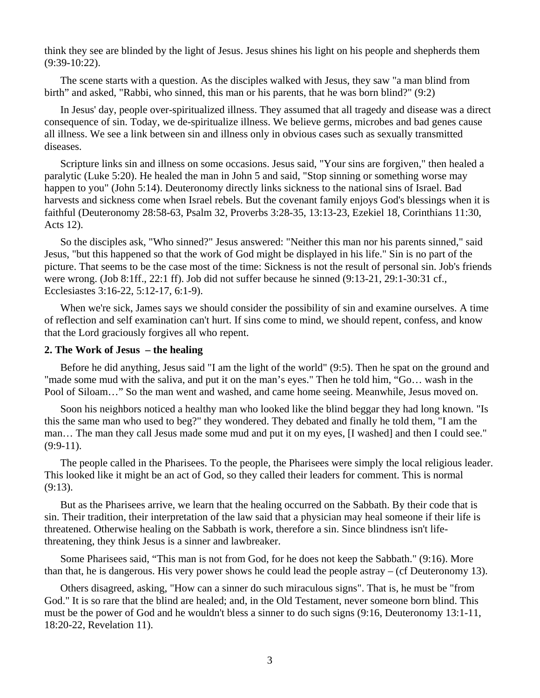think they see are blinded by the light of Jesus. Jesus shines his light on his people and shepherds them (9:39-10:22).

The scene starts with a question. As the disciples walked with Jesus, they saw "a man blind from birth" and asked, "Rabbi, who sinned, this man or his parents, that he was born blind?" (9:2)

 In Jesus' day, people over-spiritualized illness. They assumed that all tragedy and disease was a direct consequence of sin. Today, we de-spiritualize illness. We believe germs, microbes and bad genes cause all illness. We see a link between sin and illness only in obvious cases such as sexually transmitted diseases.

 Scripture links sin and illness on some occasions. Jesus said, "Your sins are forgiven," then healed a paralytic (Luke 5:20). He healed the man in John 5 and said, "Stop sinning or something worse may happen to you" (John 5:14). Deuteronomy directly links sickness to the national sins of Israel. Bad harvests and sickness come when Israel rebels. But the covenant family enjoys God's blessings when it is faithful (Deuteronomy 28:58-63, Psalm 32, Proverbs 3:28-35, 13:13-23, Ezekiel 18, Corinthians 11:30, Acts 12).

 So the disciples ask, "Who sinned?" Jesus answered: "Neither this man nor his parents sinned," said Jesus, "but this happened so that the work of God might be displayed in his life." Sin is no part of the picture. That seems to be the case most of the time: Sickness is not the result of personal sin. Job's friends were wrong. (Job 8:1ff., 22:1 ff). Job did not suffer because he sinned (9:13-21, 29:1-30:31 cf., Ecclesiastes 3:16-22, 5:12-17, 6:1-9).

 When we're sick, James says we should consider the possibility of sin and examine ourselves. A time of reflection and self examination can't hurt. If sins come to mind, we should repent, confess, and know that the Lord graciously forgives all who repent.

## **2. The Work of Jesus – the healing**

 Before he did anything, Jesus said "I am the light of the world" (9:5). Then he spat on the ground and "made some mud with the saliva, and put it on the man's eyes." Then he told him, "Go… wash in the Pool of Siloam…" So the man went and washed, and came home seeing. Meanwhile, Jesus moved on.

 Soon his neighbors noticed a healthy man who looked like the blind beggar they had long known. "Is this the same man who used to beg?" they wondered. They debated and finally he told them, "I am the man… The man they call Jesus made some mud and put it on my eyes, [I washed] and then I could see." (9:9-11).

 The people called in the Pharisees. To the people, the Pharisees were simply the local religious leader. This looked like it might be an act of God, so they called their leaders for comment. This is normal (9:13).

 But as the Pharisees arrive, we learn that the healing occurred on the Sabbath. By their code that is sin. Their tradition, their interpretation of the law said that a physician may heal someone if their life is threatened. Otherwise healing on the Sabbath is work, therefore a sin. Since blindness isn't lifethreatening, they think Jesus is a sinner and lawbreaker.

 Some Pharisees said, "This man is not from God, for he does not keep the Sabbath." (9:16). More than that, he is dangerous. His very power shows he could lead the people astray – (cf Deuteronomy 13).

 Others disagreed, asking, "How can a sinner do such miraculous signs". That is, he must be "from God." It is so rare that the blind are healed; and, in the Old Testament, never someone born blind. This must be the power of God and he wouldn't bless a sinner to do such signs (9:16, Deuteronomy 13:1-11, 18:20-22, Revelation 11).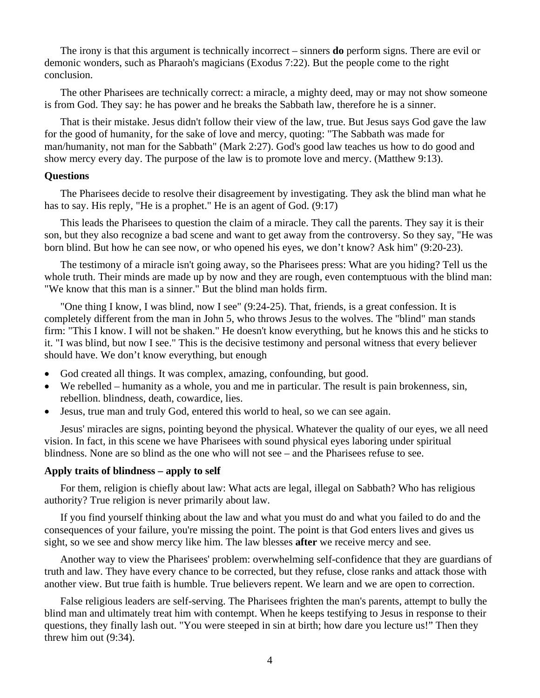The irony is that this argument is technically incorrect – sinners **do** perform signs. There are evil or demonic wonders, such as Pharaoh's magicians (Exodus 7:22). But the people come to the right conclusion.

 The other Pharisees are technically correct: a miracle, a mighty deed, may or may not show someone is from God. They say: he has power and he breaks the Sabbath law, therefore he is a sinner.

 That is their mistake. Jesus didn't follow their view of the law, true. But Jesus says God gave the law for the good of humanity, for the sake of love and mercy, quoting: "The Sabbath was made for man/humanity, not man for the Sabbath" (Mark 2:27). God's good law teaches us how to do good and show mercy every day. The purpose of the law is to promote love and mercy. (Matthew 9:13).

### **Questions**

 The Pharisees decide to resolve their disagreement by investigating. They ask the blind man what he has to say. His reply, "He is a prophet." He is an agent of God. (9:17)

 This leads the Pharisees to question the claim of a miracle. They call the parents. They say it is their son, but they also recognize a bad scene and want to get away from the controversy. So they say, "He was born blind. But how he can see now, or who opened his eyes, we don't know? Ask him" (9:20-23).

 The testimony of a miracle isn't going away, so the Pharisees press: What are you hiding? Tell us the whole truth. Their minds are made up by now and they are rough, even contemptuous with the blind man: "We know that this man is a sinner." But the blind man holds firm.

 "One thing I know, I was blind, now I see" (9:24-25). That, friends, is a great confession. It is completely different from the man in John 5, who throws Jesus to the wolves. The "blind" man stands firm: "This I know. I will not be shaken." He doesn't know everything, but he knows this and he sticks to it. "I was blind, but now I see." This is the decisive testimony and personal witness that every believer should have. We don't know everything, but enough

- God created all things. It was complex, amazing, confounding, but good.
- We rebelled humanity as a whole, you and me in particular. The result is pain brokenness, sin, rebellion. blindness, death, cowardice, lies.
- Jesus, true man and truly God, entered this world to heal, so we can see again.

 Jesus' miracles are signs, pointing beyond the physical. Whatever the quality of our eyes, we all need vision. In fact, in this scene we have Pharisees with sound physical eyes laboring under spiritual blindness. None are so blind as the one who will not see – and the Pharisees refuse to see.

### **Apply traits of blindness – apply to self**

 For them, religion is chiefly about law: What acts are legal, illegal on Sabbath? Who has religious authority? True religion is never primarily about law.

 If you find yourself thinking about the law and what you must do and what you failed to do and the consequences of your failure, you're missing the point. The point is that God enters lives and gives us sight, so we see and show mercy like him. The law blesses **after** we receive mercy and see.

 Another way to view the Pharisees' problem: overwhelming self-confidence that they are guardians of truth and law. They have every chance to be corrected, but they refuse, close ranks and attack those with another view. But true faith is humble. True believers repent. We learn and we are open to correction.

 False religious leaders are self-serving. The Pharisees frighten the man's parents, attempt to bully the blind man and ultimately treat him with contempt. When he keeps testifying to Jesus in response to their questions, they finally lash out. "You were steeped in sin at birth; how dare you lecture us!" Then they threw him out (9:34).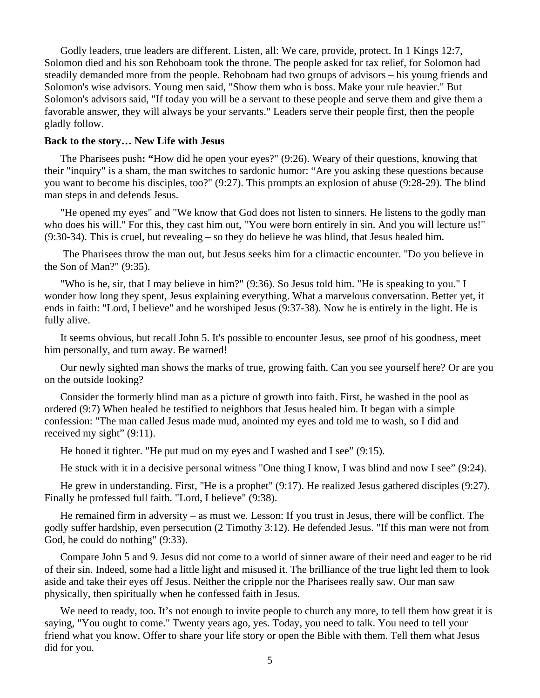Godly leaders, true leaders are different. Listen, all: We care, provide, protect. In 1 Kings 12:7, Solomon died and his son Rehoboam took the throne. The people asked for tax relief, for Solomon had steadily demanded more from the people. Rehoboam had two groups of advisors – his young friends and Solomon's wise advisors. Young men said, "Show them who is boss. Make your rule heavier." But Solomon's advisors said, "If today you will be a servant to these people and serve them and give them a favorable answer, they will always be your servants." Leaders serve their people first, then the people gladly follow.

#### **Back to the story… New Life with Jesus**

The Pharisees push**: "**How did he open your eyes?" (9:26). Weary of their questions, knowing that their "inquiry" is a sham, the man switches to sardonic humor: "Are you asking these questions because you want to become his disciples, too?" (9:27). This prompts an explosion of abuse (9:28-29). The blind man steps in and defends Jesus.

 "He opened my eyes" and "We know that God does not listen to sinners. He listens to the godly man who does his will." For this, they cast him out, "You were born entirely in sin. And you will lecture us!" (9:30-34). This is cruel, but revealing – so they do believe he was blind, that Jesus healed him.

 The Pharisees throw the man out, but Jesus seeks him for a climactic encounter. "Do you believe in the Son of Man?" (9:35).

 "Who is he, sir, that I may believe in him?" (9:36). So Jesus told him. "He is speaking to you." I wonder how long they spent, Jesus explaining everything. What a marvelous conversation. Better yet, it ends in faith: "Lord, I believe" and he worshiped Jesus (9:37-38). Now he is entirely in the light. He is fully alive.

 It seems obvious, but recall John 5. It's possible to encounter Jesus, see proof of his goodness, meet him personally, and turn away. Be warned!

Our newly sighted man shows the marks of true, growing faith. Can you see yourself here? Or are you on the outside looking?

 Consider the formerly blind man as a picture of growth into faith. First, he washed in the pool as ordered (9:7) When healed he testified to neighbors that Jesus healed him. It began with a simple confession: "The man called Jesus made mud, anointed my eyes and told me to wash, so I did and received my sight" (9:11).

He honed it tighter. "He put mud on my eyes and I washed and I see" (9:15).

He stuck with it in a decisive personal witness "One thing I know, I was blind and now I see" (9:24).

 He grew in understanding. First, "He is a prophet" (9:17). He realized Jesus gathered disciples (9:27). Finally he professed full faith. "Lord, I believe" (9:38).

He remained firm in adversity – as must we. Lesson: If you trust in Jesus, there will be conflict. The godly suffer hardship, even persecution (2 Timothy 3:12). He defended Jesus. "If this man were not from God, he could do nothing" (9:33).

 Compare John 5 and 9. Jesus did not come to a world of sinner aware of their need and eager to be rid of their sin. Indeed, some had a little light and misused it. The brilliance of the true light led them to look aside and take their eyes off Jesus. Neither the cripple nor the Pharisees really saw. Our man saw physically, then spiritually when he confessed faith in Jesus.

We need to ready, too. It's not enough to invite people to church any more, to tell them how great it is saying, "You ought to come." Twenty years ago, yes. Today, you need to talk. You need to tell your friend what you know. Offer to share your life story or open the Bible with them. Tell them what Jesus did for you.